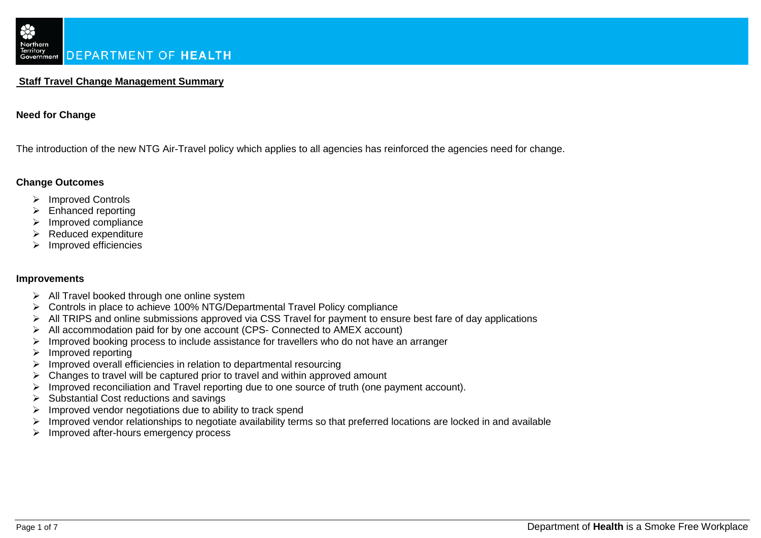# **Staff Travel Change Management Summary**

# **Need for Change**

The introduction of the new NTG Air-Travel policy which applies to all agencies has reinforced the agencies need for change.

### **Change Outcomes**

- > Improved Controls
- $\triangleright$  Enhanced reporting
- $\triangleright$  Improved compliance
- $\triangleright$  Reduced expenditure
- $\triangleright$  Improved efficiencies

#### **Improvements**

- $\triangleright$  All Travel booked through one online system
- Controls in place to achieve 100% NTG/Departmental Travel Policy compliance
- All TRIPS and online submissions approved via CSS Travel for payment to ensure best fare of day applications
- All accommodation paid for by one account (CPS- Connected to AMEX account)
- $\triangleright$  Improved booking process to include assistance for travellers who do not have an arranger
- $\triangleright$  Improved reporting
- $\triangleright$  Improved overall efficiencies in relation to departmental resourcing
- $\triangleright$  Changes to travel will be captured prior to travel and within approved amount
- $\triangleright$  Improved reconciliation and Travel reporting due to one source of truth (one payment account).
- $\triangleright$  Substantial Cost reductions and savings
- $\triangleright$  Improved vendor negotiations due to ability to track spend
- > Improved vendor relationships to negotiate availability terms so that preferred locations are locked in and available
- > Improved after-hours emergency process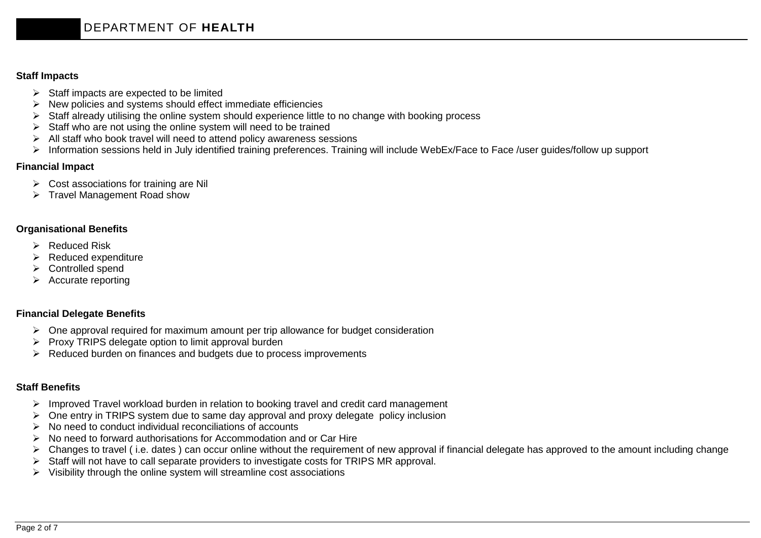### **Staff Impacts**

- $\triangleright$  Staff impacts are expected to be limited
- $\triangleright$  New policies and systems should effect immediate efficiencies
- Staff already utilising the online system should experience little to no change with booking process
- $\triangleright$  Staff who are not using the online system will need to be trained
- $\triangleright$  All staff who book travel will need to attend policy awareness sessions
- Information sessions held in July identified training preferences. Training will include WebEx/Face to Face /user guides/follow up support

## **Financial Impact**

- $\triangleright$  Cost associations for training are Nil
- $\triangleright$  Travel Management Road show

### **Organisational Benefits**

- $\triangleright$  Reduced Risk
- $\triangleright$  Reduced expenditure
- $\triangleright$  Controlled spend
- $\triangleright$  Accurate reporting

### **Financial Delegate Benefits**

- $\triangleright$  One approval required for maximum amount per trip allowance for budget consideration
- $\triangleright$  Proxy TRIPS delegate option to limit approval burden
- $\triangleright$  Reduced burden on finances and budgets due to process improvements

#### **Staff Benefits**

- $\triangleright$  Improved Travel workload burden in relation to booking travel and credit card management
- $\triangleright$  One entry in TRIPS system due to same day approval and proxy delegate policy inclusion
- $\triangleright$  No need to conduct individual reconciliations of accounts
- $\triangleright$  No need to forward authorisations for Accommodation and or Car Hire
- $\triangleright$  Changes to travel (i.e. dates) can occur online without the requirement of new approval if financial delegate has approved to the amount including change
- $\triangleright$  Staff will not have to call separate providers to investigate costs for TRIPS MR approval.
- $\triangleright$  Visibility through the online system will streamline cost associations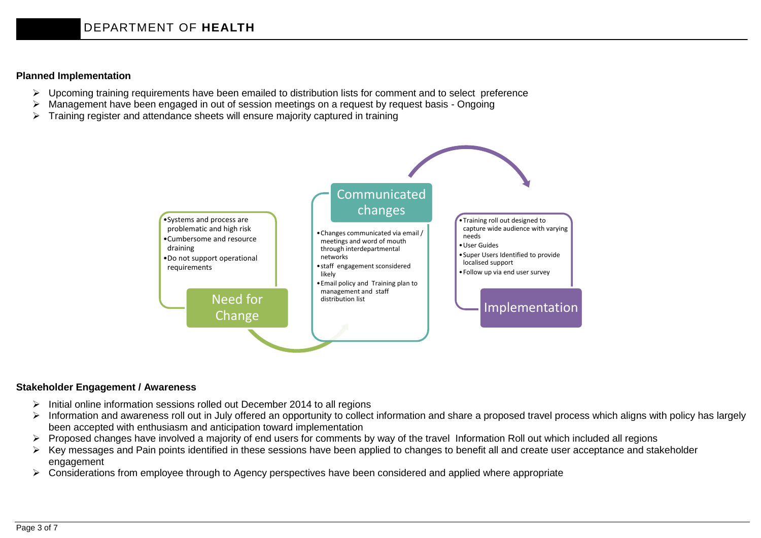### **Planned Implementation**

- $\triangleright$  Upcoming training requirements have been emailed to distribution lists for comment and to select preference
- $\triangleright$  Management have been engaged in out of session meetings on a request by request basis Ongoing
- $\triangleright$  Training register and attendance sheets will ensure majority captured in training



#### **Stakeholder Engagement / Awareness**

- $\triangleright$  Initial online information sessions rolled out December 2014 to all regions
- > Information and awareness roll out in July offered an opportunity to collect information and share a proposed travel process which aligns with policy has largely been accepted with enthusiasm and anticipation toward implementation
- Proposed changes have involved a majority of end users for comments by way of the travel Information Roll out which included all regions
- Key messages and Pain points identified in these sessions have been applied to changes to benefit all and create user acceptance and stakeholder engagement
- Considerations from employee through to Agency perspectives have been considered and applied where appropriate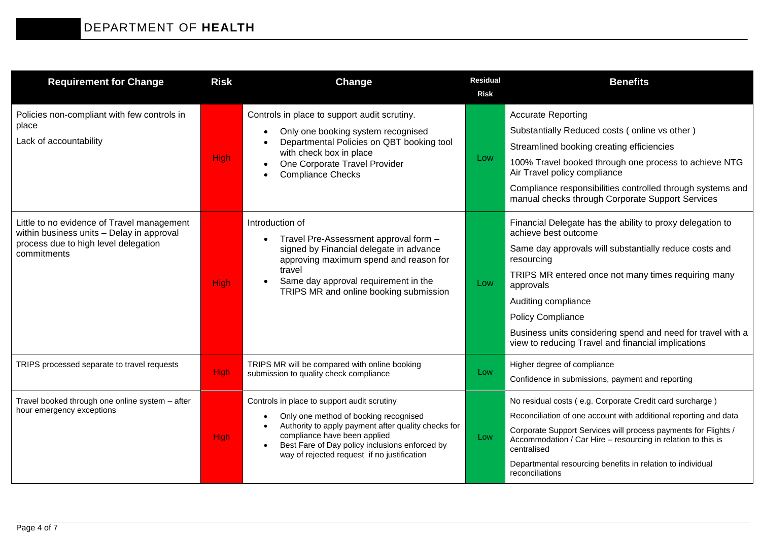| <b>Requirement for Change</b>                                                                                                                  | <b>Risk</b> | Change                                                                                                                                                                                                                                                                       | <b>Residual</b><br><b>Risk</b> | <b>Benefits</b>                                                                                                                                                                                                                                                                                                                                                                                       |  |
|------------------------------------------------------------------------------------------------------------------------------------------------|-------------|------------------------------------------------------------------------------------------------------------------------------------------------------------------------------------------------------------------------------------------------------------------------------|--------------------------------|-------------------------------------------------------------------------------------------------------------------------------------------------------------------------------------------------------------------------------------------------------------------------------------------------------------------------------------------------------------------------------------------------------|--|
| Policies non-compliant with few controls in<br>place<br>Lack of accountability                                                                 | <b>High</b> | Controls in place to support audit scrutiny.<br>Only one booking system recognised<br>Departmental Policies on QBT booking tool<br>with check box in place<br>One Corporate Travel Provider<br><b>Compliance Checks</b>                                                      | Low                            | <b>Accurate Reporting</b><br>Substantially Reduced costs (online vs other)<br>Streamlined booking creating efficiencies<br>100% Travel booked through one process to achieve NTG<br>Air Travel policy compliance<br>Compliance responsibilities controlled through systems and<br>manual checks through Corporate Support Services                                                                    |  |
| Little to no evidence of Travel management<br>within business units - Delay in approval<br>process due to high level delegation<br>commitments | <b>High</b> | Introduction of<br>Travel Pre-Assessment approval form -<br>signed by Financial delegate in advance<br>approving maximum spend and reason for<br>travel<br>Same day approval requirement in the<br>TRIPS MR and online booking submission                                    | Low                            | Financial Delegate has the ability to proxy delegation to<br>achieve best outcome<br>Same day approvals will substantially reduce costs and<br>resourcing<br>TRIPS MR entered once not many times requiring many<br>approvals<br>Auditing compliance<br><b>Policy Compliance</b><br>Business units considering spend and need for travel with a<br>view to reducing Travel and financial implications |  |
| TRIPS processed separate to travel requests                                                                                                    | High        | TRIPS MR will be compared with online booking<br>submission to quality check compliance                                                                                                                                                                                      | Low                            | Higher degree of compliance<br>Confidence in submissions, payment and reporting                                                                                                                                                                                                                                                                                                                       |  |
| Travel booked through one online system - after<br>hour emergency exceptions                                                                   | <b>High</b> | Controls in place to support audit scrutiny<br>Only one method of booking recognised<br>Authority to apply payment after quality checks for<br>compliance have been applied<br>Best Fare of Day policy inclusions enforced by<br>way of rejected request if no justification | Low                            | No residual costs (e.g. Corporate Credit card surcharge)<br>Reconciliation of one account with additional reporting and data<br>Corporate Support Services will process payments for Flights /<br>Accommodation / Car Hire - resourcing in relation to this is<br>centralised<br>Departmental resourcing benefits in relation to individual<br>reconciliations                                        |  |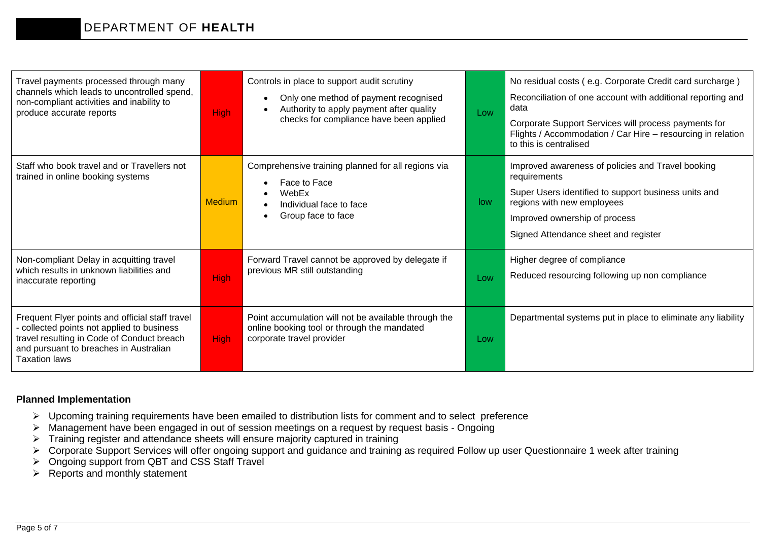| Travel payments processed through many<br>channels which leads to uncontrolled spend,<br>non-compliant activities and inability to<br>produce accurate reports                                                | <b>High</b>   | Controls in place to support audit scrutiny<br>Only one method of payment recognised<br>Authority to apply payment after quality<br>checks for compliance have been applied | Low | No residual costs (e.g. Corporate Credit card surcharge)<br>Reconciliation of one account with additional reporting and<br>data<br>Corporate Support Services will process payments for<br>Flights / Accommodation / Car Hire - resourcing in relation<br>to this is centralised |  |
|---------------------------------------------------------------------------------------------------------------------------------------------------------------------------------------------------------------|---------------|-----------------------------------------------------------------------------------------------------------------------------------------------------------------------------|-----|----------------------------------------------------------------------------------------------------------------------------------------------------------------------------------------------------------------------------------------------------------------------------------|--|
| Staff who book travel and or Travellers not<br>trained in online booking systems                                                                                                                              | <b>Medium</b> | Comprehensive training planned for all regions via<br>Face to Face<br>WebEx<br>Individual face to face<br>Group face to face                                                | low | Improved awareness of policies and Travel booking<br>requirements<br>Super Users identified to support business units and<br>regions with new employees<br>Improved ownership of process<br>Signed Attendance sheet and register                                                 |  |
| Non-compliant Delay in acquitting travel<br>which results in unknown liabilities and<br>inaccurate reporting                                                                                                  | <b>High</b>   | Forward Travel cannot be approved by delegate if<br>previous MR still outstanding                                                                                           | Low | Higher degree of compliance<br>Reduced resourcing following up non compliance                                                                                                                                                                                                    |  |
| Frequent Flyer points and official staff travel<br>- collected points not applied to business<br>travel resulting in Code of Conduct breach<br>and pursuant to breaches in Australian<br><b>Taxation laws</b> | <b>High</b>   | Point accumulation will not be available through the<br>online booking tool or through the mandated<br>corporate travel provider                                            |     | Departmental systems put in place to eliminate any liability                                                                                                                                                                                                                     |  |

### **Planned Implementation**

- $\triangleright$  Upcoming training requirements have been emailed to distribution lists for comment and to select preference
- > Management have been engaged in out of session meetings on a request by request basis Ongoing
- $\triangleright$  Training register and attendance sheets will ensure majority captured in training
- > Corporate Support Services will offer ongoing support and guidance and training as required Follow up user Questionnaire 1 week after training
- > Ongoing support from QBT and CSS Staff Travel
- $\triangleright$  Reports and monthly statement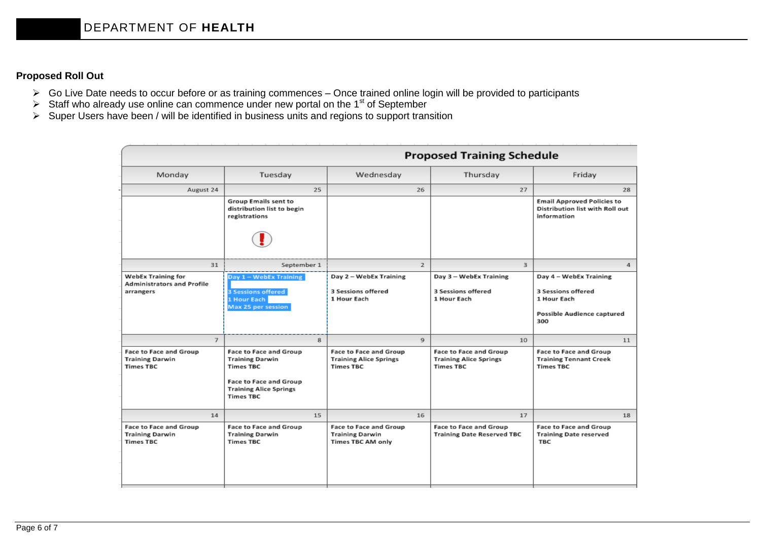# **Proposed Roll Out**

- Go Live Date needs to occur before or as training commences Once trained online login will be provided to participants
- Staff who already use online can commence under new portal on the 1<sup>st</sup> of September
- $\triangleright$  Super Users have been / will be identified in business units and regions to support transition

|                                                                             | <b>Proposed Training Schedule</b>                                                                                                                                 |                                                                                    |                                                                                    |                                                                                                                |  |  |  |
|-----------------------------------------------------------------------------|-------------------------------------------------------------------------------------------------------------------------------------------------------------------|------------------------------------------------------------------------------------|------------------------------------------------------------------------------------|----------------------------------------------------------------------------------------------------------------|--|--|--|
| Monday                                                                      | Tuesday                                                                                                                                                           | Wednesday                                                                          | Thursday                                                                           | Friday                                                                                                         |  |  |  |
| August 24                                                                   | 25                                                                                                                                                                | 26                                                                                 | 27                                                                                 | 28                                                                                                             |  |  |  |
|                                                                             | <b>Group Emails sent to</b><br>distribution list to begin<br>registrations                                                                                        |                                                                                    |                                                                                    | <b>Email Approved Policies to</b><br>Distribution list with Roll out<br>information                            |  |  |  |
| 31                                                                          | September 1                                                                                                                                                       | $\overline{2}$                                                                     | $\overline{3}$                                                                     | 4                                                                                                              |  |  |  |
| <b>WebEx Training for</b><br><b>Administrators and Profile</b><br>arrangers | Day 1 - WebEx Training<br><b>3 Sessions offered</b><br>1 Hour Each<br>Max 25 per session                                                                          | Day 2 - WebEx Training<br>3 Sessions offered<br>1 Hour Each                        | Day 3 - WebEx Training<br><b>3 Sessions offered</b><br>1 Hour Each                 | Day 4 - WebEx Training<br><b>3 Sessions offered</b><br>1 Hour Each<br><b>Possible Audience captured</b><br>300 |  |  |  |
| $\overline{7}$                                                              | 8                                                                                                                                                                 | $\mathbf{Q}$                                                                       | 10                                                                                 | 11                                                                                                             |  |  |  |
| Face to Face and Group<br><b>Training Darwin</b><br><b>Times TBC</b>        | <b>Face to Face and Group</b><br><b>Training Darwin</b><br><b>Times TBC</b><br><b>Face to Face and Group</b><br><b>Training Alice Springs</b><br><b>Times TBC</b> | <b>Face to Face and Group</b><br><b>Training Alice Springs</b><br><b>Times TBC</b> | <b>Face to Face and Group</b><br><b>Training Alice Springs</b><br><b>Times TBC</b> | <b>Face to Face and Group</b><br><b>Training Tennant Creek</b><br><b>Times TBC</b>                             |  |  |  |
| 14                                                                          | 15                                                                                                                                                                | 16                                                                                 | 17                                                                                 | 18                                                                                                             |  |  |  |
| Face to Face and Group<br><b>Training Darwin</b><br><b>Times TBC</b>        | <b>Face to Face and Group</b><br><b>Training Darwin</b><br><b>Times TBC</b>                                                                                       | <b>Face to Face and Group</b><br><b>Training Darwin</b><br>Times TBC AM only       | <b>Face to Face and Group</b><br><b>Training Date Reserved TBC</b>                 | <b>Face to Face and Group</b><br><b>Training Date reserved</b><br>TBC                                          |  |  |  |